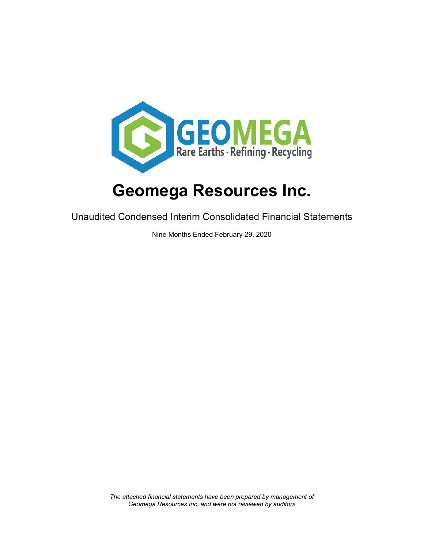

Unaudited Condensed Interim Consolidated Financial Statements

Nine Months Ended February 29, 2020

*The attached financial statements have been prepared by management of Geomega Resources Inc. and were not reviewed by auditors*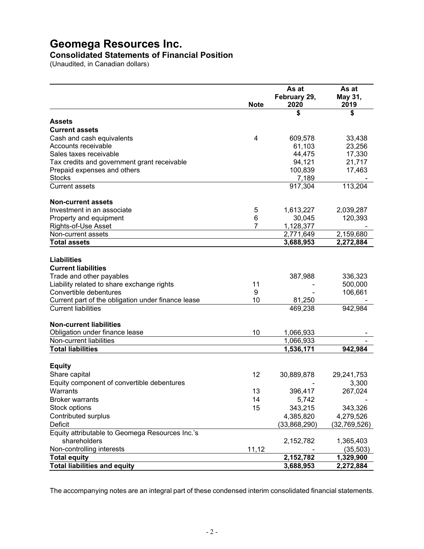#### **Consolidated Statements of Financial Position**

(Unaudited, in Canadian dollars)

|                                                                      |                | As at        | As at              |
|----------------------------------------------------------------------|----------------|--------------|--------------------|
|                                                                      |                | February 29, | May 31,            |
|                                                                      | <b>Note</b>    | 2020         | 2019               |
|                                                                      |                | \$           | \$                 |
| Assets                                                               |                |              |                    |
| <b>Current assets</b>                                                |                |              |                    |
| Cash and cash equivalents                                            | $\overline{4}$ | 609,578      | 33,438             |
| Accounts receivable                                                  |                | 61,103       | 23,256             |
| Sales taxes receivable                                               |                | 44,475       | 17,330             |
| Tax credits and government grant receivable                          |                | 94,121       | 21,717             |
| Prepaid expenses and others                                          |                | 100,839      | 17,463             |
| <b>Stocks</b>                                                        |                | 7,189        |                    |
| <b>Current assets</b>                                                |                | 917,304      | 113,204            |
| <b>Non-current assets</b>                                            |                |              |                    |
| Investment in an associate                                           | 5              | 1,613,227    | 2,039,287          |
| Property and equipment                                               | 6              | 30,045       | 120,393            |
| Rights-of-Use Asset                                                  | 7              | 1,128,377    |                    |
| Non-current assets                                                   |                | 2,771,649    | 2,159,680          |
| <b>Total assets</b>                                                  |                | 3,688,953    | 2,272,884          |
| <b>Liabilities</b>                                                   |                |              |                    |
| <b>Current liabilities</b>                                           |                |              |                    |
| Trade and other payables                                             |                |              |                    |
|                                                                      | 11             | 387,988      | 336,323<br>500,000 |
| Liability related to share exchange rights<br>Convertible debentures | 9              |              | 106,661            |
| Current part of the obligation under finance lease                   | 10             | 81,250       |                    |
| <b>Current liabilities</b>                                           |                | 469,238      | 942,984            |
|                                                                      |                |              |                    |
| <b>Non-current liabilities</b>                                       |                |              |                    |
| Obligation under finance lease                                       | 10             | 1,066,933    |                    |
| Non-current liabilities                                              |                | 1,066,933    |                    |
| <b>Total liabilities</b>                                             |                | 1,536,171    | 942,984            |
| <b>Equity</b>                                                        |                |              |                    |
| Share capital                                                        | 12             | 30,889,878   | 29,241,753         |
| Equity component of convertible debentures                           |                |              | 3,300              |
| Warrants                                                             | 13             | 396,417      | 267,024            |
| <b>Broker warrants</b>                                               | 14             | 5,742        |                    |
| Stock options                                                        | 15             | 343,215      | 343,326            |
| Contributed surplus                                                  |                | 4,385,820    | 4,279,526          |
| Deficit                                                              |                |              | (32,769,526)       |
| Equity attributable to Geomega Resources Inc.'s                      |                | (33,868,290) |                    |
| shareholders                                                         |                |              |                    |
| Non-controlling interests                                            |                | 2,152,782    | 1,365,403          |
|                                                                      | 11,12          |              | (35, 503)          |
| <b>Total equity</b>                                                  |                | 2,152,782    | 1,329,900          |
| <b>Total liabilities and equity</b>                                  |                | 3,688,953    | 2,272,884          |

The accompanying notes are an integral part of these condensed interim consolidated financial statements.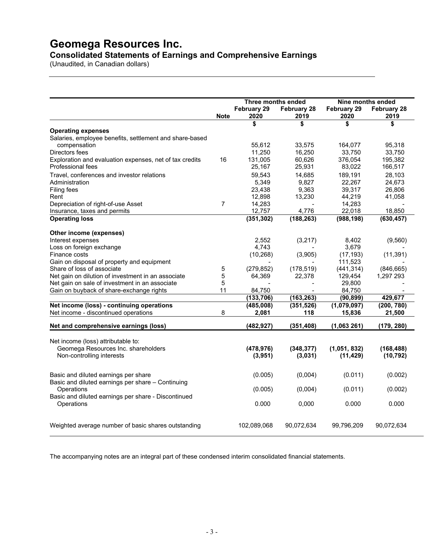**Consolidated Statements of Earnings and Comprehensive Earnings**

(Unaudited, in Canadian dollars)

|                                                                           |             | Three months ended |             | Nine months ended |                    |  |  |
|---------------------------------------------------------------------------|-------------|--------------------|-------------|-------------------|--------------------|--|--|
|                                                                           |             | February 29        | February 28 | February 29       | <b>February 28</b> |  |  |
|                                                                           | <b>Note</b> | 2020               | 2019        | 2020              | 2019               |  |  |
|                                                                           |             | \$                 | \$          | \$                | \$                 |  |  |
| <b>Operating expenses</b>                                                 |             |                    |             |                   |                    |  |  |
| Salaries, employee benefits, settlement and share-based                   |             |                    |             |                   |                    |  |  |
| compensation                                                              |             | 55.612             | 33,575      | 164,077           | 95,318             |  |  |
| Directors fees                                                            |             | 11,250             | 16,250      | 33,750            | 33,750             |  |  |
| Exploration and evaluation expenses, net of tax credits                   | 16          | 131,005            | 60,626      | 376,054           | 195,382            |  |  |
| Professional fees                                                         |             | 25,167             | 25,931      | 83,022            | 166,517            |  |  |
| Travel, conferences and investor relations                                |             | 59.543             | 14.685      | 189.191           | 28,103             |  |  |
| Administration                                                            |             | 5,349              | 9,827       | 22,267            | 24,673             |  |  |
| Filing fees                                                               |             | 23,438             | 9,363       | 39,317            | 26,806             |  |  |
| Rent                                                                      |             | 12,898             | 13,230      | 44,219            | 41,058             |  |  |
| Depreciation of right-of-use Asset                                        | 7           | 14,283             |             | 14,283            |                    |  |  |
| Insurance, taxes and permits                                              |             | 12,757             | 4,776       | 22,018            | 18,850             |  |  |
| <b>Operating loss</b>                                                     |             | (351, 302)         | (188, 263)  | (988, 198)        | (630, 457)         |  |  |
| Other income (expenses)                                                   |             |                    |             |                   |                    |  |  |
| Interest expenses                                                         |             | 2,552              | (3, 217)    | 8,402             | (9,560)            |  |  |
| Loss on foreign exchange                                                  |             | 4,743              |             | 3,679             |                    |  |  |
| Finance costs                                                             |             | (10, 268)          | (3,905)     | (17, 193)         | (11, 391)          |  |  |
| Gain on disposal of property and equipment                                |             |                    |             | 111,523           |                    |  |  |
| Share of loss of associate                                                | 5           | (279, 852)         | (178, 519)  | (441, 314)        | (846, 665)         |  |  |
| Net gain on dilution of investment in an associate                        | 5           | 64,369             | 22,378      | 129,454           | 1,297 293          |  |  |
| Net gain on sale of investment in an associate                            | 5           |                    |             | 29,800            |                    |  |  |
| Gain on buyback of share-exchange rights                                  | 11          | 84,750             |             | 84,750            |                    |  |  |
|                                                                           |             | (133,706)          | (163, 263)  | (90, 899)         | 429,677            |  |  |
| Net income (loss) - continuing operations                                 |             | (485,008)          | (351, 526)  | (1,079,097)       | (200, 780)         |  |  |
| Net income - discontinued operations                                      | 8           | 2,081              | 118         | 15,836            | 21,500             |  |  |
| Net and comprehensive earnings (loss)                                     |             | (482, 927)         | (351, 408)  | (1,063261)        | (179, 280)         |  |  |
|                                                                           |             |                    |             |                   |                    |  |  |
| Net income (loss) attributable to:<br>Geomega Resources Inc. shareholders |             | (478, 976)         | (348, 377)  | (1,051, 832)      | (168, 488)         |  |  |
| Non-controlling interests                                                 |             |                    |             |                   |                    |  |  |
|                                                                           |             | (3,951)            | (3,031)     | (11, 429)         | (10, 792)          |  |  |
| Basic and diluted earnings per share                                      |             | (0.005)            | (0,004)     | (0.011)           | (0.002)            |  |  |
| Basic and diluted earnings per share - Continuing                         |             |                    |             |                   |                    |  |  |
| Operations                                                                |             | (0.005)            | (0,004)     | (0.011)           | (0.002)            |  |  |
| Basic and diluted earnings per share - Discontinued                       |             |                    |             |                   |                    |  |  |
| Operations                                                                |             | 0.000              | 0,000       | 0.000             | 0.000              |  |  |
|                                                                           |             |                    |             |                   |                    |  |  |
| Weighted average number of basic shares outstanding                       |             | 102,089,068        | 90,072,634  | 99,796,209        | 90,072,634         |  |  |
|                                                                           |             |                    |             |                   |                    |  |  |

The accompanying notes are an integral part of these condensed interim consolidated financial statements.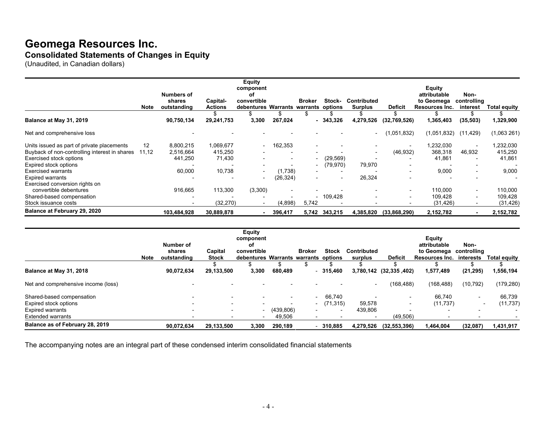## **Geomega Resources Inc. Consolidated Statements of Changes in Equity**

(Unaudited, in Canadian dollars)

|                                                                                                                        | <b>Note</b> | <b>Numbers of</b><br>shares<br>outstanding | Capital-<br><b>Actions</b>     | <b>Equity</b><br>component<br>οf<br>convertible<br>debentures Warrants warrants options |                                    | <b>Broker</b>                     | Stock-     | <b>Contributed</b><br><b>Surplus</b> | <b>Deficit</b>                                                    | <b>Equity</b><br>attributable<br>to Geomega<br>Resources Inc. | Non-<br>controlling<br>interest    | <b>Total equity</b>            |
|------------------------------------------------------------------------------------------------------------------------|-------------|--------------------------------------------|--------------------------------|-----------------------------------------------------------------------------------------|------------------------------------|-----------------------------------|------------|--------------------------------------|-------------------------------------------------------------------|---------------------------------------------------------------|------------------------------------|--------------------------------|
| Balance at May 31, 2019                                                                                                |             | 90,750,134                                 | 29,241,753                     | 3,300                                                                                   | 267,024                            |                                   | $-343.326$ | 4,279,526                            | (32,769,526)                                                      | 1,365,403                                                     | (35, 503)                          | 1,329,900                      |
| Net and comprehensive loss                                                                                             |             |                                            |                                |                                                                                         |                                    |                                   |            |                                      | (1,051,832)                                                       | (1,051,832)                                                   | (11, 429)                          | (1,063261)                     |
| Units issued as part of private placements<br>Buyback of non-controlling interest in shares<br>Exercised stock options | 12<br>11,12 | 8,800,215<br>2,516,664<br>441,250          | 1,069,677<br>415,250<br>71,430 | $\overline{\phantom{a}}$                                                                | 162,353<br>-                       | $\overline{\phantom{a}}$          | (29, 569)  |                                      | $\overline{\phantom{0}}$<br>(46, 932)<br>$\overline{\phantom{0}}$ | 1,232,030<br>368,318<br>41,861                                | $\sim$<br>46,932<br>$\sim$         | 1,232,030<br>415,250<br>41,861 |
| Expired stock options<br>Exercised warrants                                                                            |             | 60,000                                     | 10,738                         | $\overline{\phantom{0}}$                                                                | $\overline{\phantom{0}}$<br>1,738) | $\overline{\phantom{a}}$          | (79, 970)  | 79,970                               |                                                                   | 9,000                                                         | $\overline{\phantom{a}}$<br>$\sim$ | 9,000                          |
| <b>Expired warrants</b><br>Exercised conversion rights on<br>convertible debentures                                    |             | 916,665                                    | 113,300                        | $\overline{\phantom{a}}$<br>(3,300)                                                     | (26, 324)                          | $\overline{\phantom{0}}$          |            | 26,324                               |                                                                   | 110,000                                                       |                                    | 110,000                        |
| Shared-based compensation<br>Stock issuance costs                                                                      |             |                                            | (32, 270)                      |                                                                                         | (4,898)                            | $\overline{\phantom{0}}$<br>5,742 | 109,428    |                                      | $\overline{\phantom{a}}$<br>$\overline{\phantom{0}}$              | 109,428<br>(31, 426)                                          | $\sim$<br>$\sim$<br>$\sim$         | 109,428<br>(31, 426)           |
| Balance at February 29, 2020                                                                                           |             | 103,484,928                                | 30,889,878                     |                                                                                         | 396,417                            | 5,742                             | 343,215    | 4,385,820                            | (33,868,290)                                                      | 2,152,782                                                     | $\sim$                             | 2,152,782                      |

|                                     |             |                                    |                          | <b>Equity</b><br>component                                |               |               |              |                          |                          | <b>Equity</b>                                            |                          |                     |
|-------------------------------------|-------------|------------------------------------|--------------------------|-----------------------------------------------------------|---------------|---------------|--------------|--------------------------|--------------------------|----------------------------------------------------------|--------------------------|---------------------|
|                                     | <b>Note</b> | Number of<br>shares<br>outstanding | Capital<br><b>Stock</b>  | οf<br>convertible<br>debentures Warrants warrants options |               | <b>Broker</b> | <b>Stock</b> | Contributed<br>surplus   | <b>Deficit</b>           | attributable<br>to Geomega controlling<br>Resources Inc. | Non-<br>interests        | <b>Total equity</b> |
| Balance at May 31, 2018             |             | 90.072.634                         | 29,133,500               | 3,300                                                     | \$<br>680.489 |               | 315.460      |                          | 3,780,142 (32,335,402)   | 1,577,489                                                | (21, 295)                | 1,556,194           |
| Net and comprehensive income (loss) |             |                                    |                          |                                                           |               |               |              | $\overline{\phantom{a}}$ | (168, 488)               | (168, 488)                                               | (10, 792)                | (179, 280)          |
| Shared-based compensation           |             |                                    | $\overline{\phantom{0}}$ |                                                           |               |               | 66.740       |                          |                          | 66.740                                                   | $\overline{\phantom{0}}$ | 66,739              |
| Expired stock options               |             |                                    | $\overline{\phantom{0}}$ |                                                           |               | $\sim$        | (71, 315)    | 59,578                   | $\overline{\phantom{0}}$ | (11, 737)                                                | $\overline{\phantom{0}}$ | (11, 737)           |
| <b>Expired warrants</b>             |             |                                    | $\overline{\phantom{0}}$ |                                                           | (439, 806)    |               |              | 439.806                  |                          |                                                          | $\overline{\phantom{0}}$ |                     |
| <b>Extended warrants</b>            |             |                                    | $\overline{\phantom{0}}$ |                                                           | 49,506        |               |              | $\overline{\phantom{0}}$ | (49, 506)                |                                                          | $\overline{\phantom{0}}$ |                     |
| Balance as of February 28, 2019     |             | 90,072,634                         | 29,133,500               | 3,300                                                     | 290,189       |               | 310.885      | 4,279,526                | (32, 553, 396)           | 1,464,004                                                | (32,087)                 | 1,431,917           |

The accompanying notes are an integral part of these condensed interim consolidated financial statements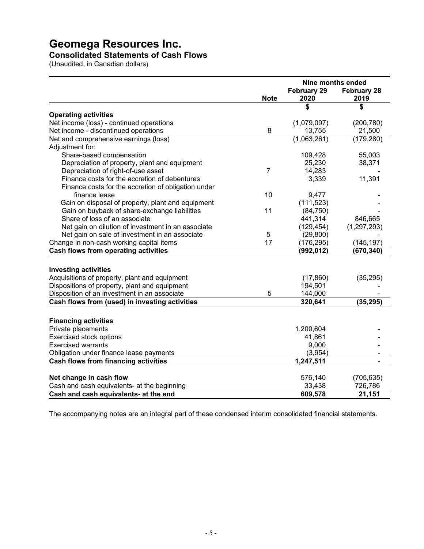#### **Consolidated Statements of Cash Flows**

(Unaudited, in Canadian dollars)

|                                                     |                | Nine months ended          |                            |  |  |
|-----------------------------------------------------|----------------|----------------------------|----------------------------|--|--|
|                                                     | <b>Note</b>    | <b>February 29</b><br>2020 | <b>February 28</b><br>2019 |  |  |
|                                                     |                | \$                         | \$                         |  |  |
| <b>Operating activities</b>                         |                |                            |                            |  |  |
| Net income (loss) - continued operations            |                | (1,079,097)                | (200, 780)                 |  |  |
| Net income - discontinued operations                | 8              | 13,755                     | 21,500                     |  |  |
| Net and comprehensive earnings (loss)               |                | $\overline{(1,063,261)}$   | (179, 280)                 |  |  |
| Adjustment for:                                     |                |                            |                            |  |  |
| Share-based compensation                            |                | 109,428                    | 55,003                     |  |  |
| Depreciation of property, plant and equipment       |                | 25,230                     | 38,371                     |  |  |
| Depreciation of right-of-use asset                  | $\overline{7}$ | 14,283                     |                            |  |  |
| Finance costs for the accretion of debentures       |                | 3,339                      | 11,391                     |  |  |
| Finance costs for the accretion of obligation under |                |                            |                            |  |  |
| finance lease                                       | 10             | 9,477                      |                            |  |  |
| Gain on disposal of property, plant and equipment   |                | (111, 523)                 |                            |  |  |
| Gain on buyback of share-exchange liabilities       | 11             | (84, 750)                  |                            |  |  |
| Share of loss of an associate                       |                | 441,314                    | 846,665                    |  |  |
| Net gain on dilution of investment in an associate  |                | (129, 454)                 | (1, 297, 293)              |  |  |
| Net gain on sale of investment in an associate      | 5              | (29, 800)                  |                            |  |  |
| Change in non-cash working capital items            | 17             | (176, 295)                 | (145, 197)                 |  |  |
| <b>Cash flows from operating activities</b>         |                | (992, 012)                 | (670, 340)                 |  |  |
|                                                     |                |                            |                            |  |  |
| <b>Investing activities</b>                         |                |                            |                            |  |  |
| Acquisitions of property, plant and equipment       |                | (17, 860)                  | (35, 295)                  |  |  |
| Dispositions of property, plant and equipment       |                | 194,501                    |                            |  |  |
| Disposition of an investment in an associate        | 5              | 144,000                    |                            |  |  |
| Cash flows from (used) in investing activities      |                | 320,641                    | (35, 295)                  |  |  |
|                                                     |                |                            |                            |  |  |
| <b>Financing activities</b>                         |                |                            |                            |  |  |
| Private placements                                  |                | 1,200,604                  |                            |  |  |
| <b>Exercised stock options</b>                      |                | 41,861                     |                            |  |  |
| <b>Exercised warrants</b>                           |                | 9,000                      |                            |  |  |
| Obligation under finance lease payments             |                | (3,954)                    |                            |  |  |
| <b>Cash flows from financing activities</b>         |                | 1,247,511                  | $\overline{\phantom{a}}$   |  |  |
|                                                     |                |                            |                            |  |  |
| Net change in cash flow                             |                | 576,140                    | (705, 635)                 |  |  |
| Cash and cash equivalents- at the beginning         |                | 33,438                     | 726,786                    |  |  |
| Cash and cash equivalents- at the end               |                | 609,578                    | 21,151                     |  |  |

The accompanying notes are an integral part of these condensed interim consolidated financial statements.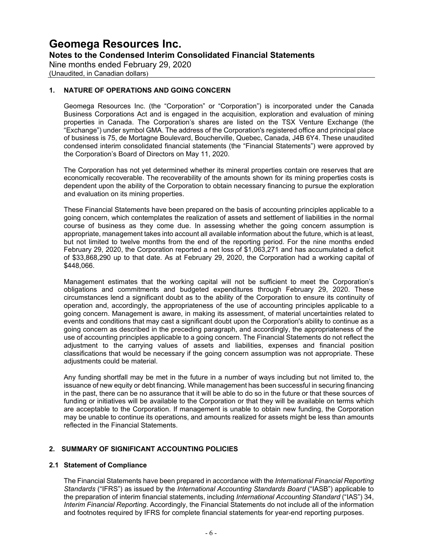Nine months ended February 29, 2020

(Unaudited, in Canadian dollars)

#### **1. NATURE OF OPERATIONS AND GOING CONCERN**

Geomega Resources Inc. (the "Corporation" or "Corporation") is incorporated under the Canada Business Corporations Act and is engaged in the acquisition, exploration and evaluation of mining properties in Canada. The Corporation's shares are listed on the TSX Venture Exchange (the "Exchange") under symbol GMA. The address of the Corporation's registered office and principal place of business is 75, de Mortagne Boulevard, Boucherville, Quebec, Canada, J4B 6Y4. These unaudited condensed interim consolidated financial statements (the "Financial Statements") were approved by the Corporation's Board of Directors on May 11, 2020.

The Corporation has not yet determined whether its mineral properties contain ore reserves that are economically recoverable. The recoverability of the amounts shown for its mining properties costs is dependent upon the ability of the Corporation to obtain necessary financing to pursue the exploration and evaluation on its mining properties.

These Financial Statements have been prepared on the basis of accounting principles applicable to a going concern, which contemplates the realization of assets and settlement of liabilities in the normal course of business as they come due. In assessing whether the going concern assumption is appropriate, management takes into account all available information about the future, which is at least, but not limited to twelve months from the end of the reporting period. For the nine months ended February 29, 2020, the Corporation reported a net loss of \$1,063,271 and has accumulated a deficit of \$33,868,290 up to that date. As at February 29, 2020, the Corporation had a working capital of \$448,066.

Management estimates that the working capital will not be sufficient to meet the Corporation's obligations and commitments and budgeted expenditures through February 29, 2020. These circumstances lend a significant doubt as to the ability of the Corporation to ensure its continuity of operation and, accordingly, the appropriateness of the use of accounting principles applicable to a going concern. Management is aware, in making its assessment, of material uncertainties related to events and conditions that may cast a significant doubt upon the Corporation's ability to continue as a going concern as described in the preceding paragraph, and accordingly, the appropriateness of the use of accounting principles applicable to a going concern. The Financial Statements do not reflect the adjustment to the carrying values of assets and liabilities, expenses and financial position classifications that would be necessary if the going concern assumption was not appropriate. These adjustments could be material.

Any funding shortfall may be met in the future in a number of ways including but not limited to, the issuance of new equity or debt financing. While management has been successful in securing financing in the past, there can be no assurance that it will be able to do so in the future or that these sources of funding or initiatives will be available to the Corporation or that they will be available on terms which are acceptable to the Corporation. If management is unable to obtain new funding, the Corporation may be unable to continue its operations, and amounts realized for assets might be less than amounts reflected in the Financial Statements.

#### **2. SUMMARY OF SIGNIFICANT ACCOUNTING POLICIES**

#### **2.1 Statement of Compliance**

The Financial Statements have been prepared in accordance with the *International Financial Reporting Standards* ("IFRS") as issued by the *International Accounting Standards Board* ("IASB") applicable to the preparation of interim financial statements, including *International Accounting Standard* ("IAS") 34, *Interim Financial Reporting*. Accordingly, the Financial Statements do not include all of the information and footnotes required by IFRS for complete financial statements for year-end reporting purposes.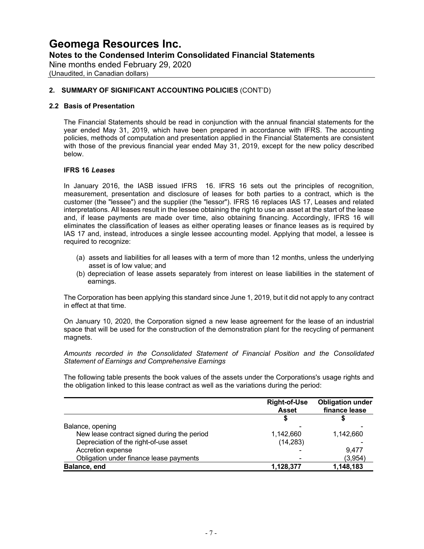Nine months ended February 29, 2020 (Unaudited, in Canadian dollars)

#### **2. SUMMARY OF SIGNIFICANT ACCOUNTING POLICIES** (CONT'D)

#### **2.2 Basis of Presentation**

The Financial Statements should be read in conjunction with the annual financial statements for the year ended May 31, 2019, which have been prepared in accordance with IFRS. The accounting policies, methods of computation and presentation applied in the Financial Statements are consistent with those of the previous financial year ended May 31, 2019, except for the new policy described below.

#### **IFRS 16** *Leases*

In January 2016, the IASB issued IFRS 16. IFRS 16 sets out the principles of recognition, measurement, presentation and disclosure of leases for both parties to a contract, which is the customer (the "lessee") and the supplier (the "lessor"). IFRS 16 replaces IAS 17, Leases and related interpretations. All leases result in the lessee obtaining the right to use an asset at the start of the lease and, if lease payments are made over time, also obtaining financing. Accordingly, IFRS 16 will eliminates the classification of leases as either operating leases or finance leases as is required by IAS 17 and, instead, introduces a single lessee accounting model. Applying that model, a lessee is required to recognize:

- (a) assets and liabilities for all leases with a term of more than 12 months, unless the underlying asset is of low value; and
- (b) depreciation of lease assets separately from interest on lease liabilities in the statement of earnings.

The Corporation has been applying this standard since June 1, 2019, but it did not apply to any contract in effect at that time.

On January 10, 2020, the Corporation signed a new lease agreement for the lease of an industrial space that will be used for the construction of the demonstration plant for the recycling of permanent magnets.

*Amounts recorded in the Consolidated Statement of Financial Position and the Consolidated Statement of Earnings and Comprehensive Earnings*

The following table presents the book values of the assets under the Corporations's usage rights and the obligation linked to this lease contract as well as the variations during the period:

|                                             | <b>Right-of-Use</b><br><b>Asset</b> | <b>Obligation under</b><br>finance lease |
|---------------------------------------------|-------------------------------------|------------------------------------------|
|                                             |                                     |                                          |
| Balance, opening                            |                                     |                                          |
| New lease contract signed during the period | 1,142,660                           | 1,142,660                                |
| Depreciation of the right-of-use asset      | (14, 283)                           |                                          |
| Accretion expense                           |                                     | 9.477                                    |
| Obligation under finance lease payments     |                                     | (3,954)                                  |
| Balance, end                                | 1,128,377                           | 1,148,183                                |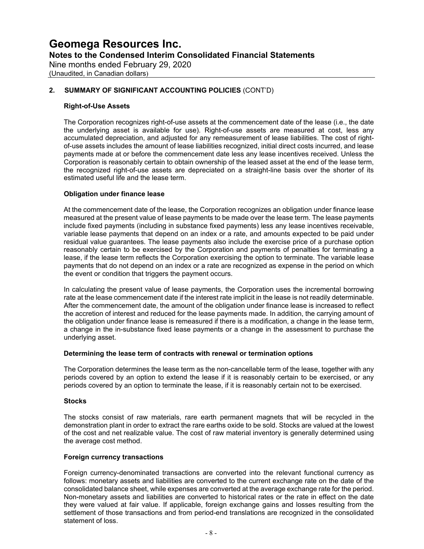## **Geomega Resources Inc. Notes to the Condensed Interim Consolidated Financial Statements** Nine months ended February 29, 2020

(Unaudited, in Canadian dollars)

#### **2. SUMMARY OF SIGNIFICANT ACCOUNTING POLICIES** (CONT'D)

#### **Right-of-Use Assets**

The Corporation recognizes right-of-use assets at the commencement date of the lease (i.e., the date the underlying asset is available for use). Right-of-use assets are measured at cost, less any accumulated depreciation, and adjusted for any remeasurement of lease liabilities. The cost of rightof-use assets includes the amount of lease liabilities recognized, initial direct costs incurred, and lease payments made at or before the commencement date less any lease incentives received. Unless the Corporation is reasonably certain to obtain ownership of the leased asset at the end of the lease term, the recognized right-of-use assets are depreciated on a straight-line basis over the shorter of its estimated useful life and the lease term.

#### **Obligation under finance lease**

At the commencement date of the lease, the Corporation recognizes an obligation under finance lease measured at the present value of lease payments to be made over the lease term. The lease payments include fixed payments (including in substance fixed payments) less any lease incentives receivable, variable lease payments that depend on an index or a rate, and amounts expected to be paid under residual value guarantees. The lease payments also include the exercise price of a purchase option reasonably certain to be exercised by the Corporation and payments of penalties for terminating a lease, if the lease term reflects the Corporation exercising the option to terminate. The variable lease payments that do not depend on an index or a rate are recognized as expense in the period on which the event or condition that triggers the payment occurs.

In calculating the present value of lease payments, the Corporation uses the incremental borrowing rate at the lease commencement date if the interest rate implicit in the lease is not readily determinable. After the commencement date, the amount of the obligation under finance lease is increased to reflect the accretion of interest and reduced for the lease payments made. In addition, the carrying amount of the obligation under finance lease is remeasured if there is a modification, a change in the lease term, a change in the in-substance fixed lease payments or a change in the assessment to purchase the underlying asset.

#### **Determining the lease term of contracts with renewal or termination options**

The Corporation determines the lease term as the non-cancellable term of the lease, together with any periods covered by an option to extend the lease if it is reasonably certain to be exercised, or any periods covered by an option to terminate the lease, if it is reasonably certain not to be exercised.

#### **Stocks**

The stocks consist of raw materials, rare earth permanent magnets that will be recycled in the demonstration plant in order to extract the rare earths oxide to be sold. Stocks are valued at the lowest of the cost and net realizable value. The cost of raw material inventory is generally determined using the average cost method.

#### **Foreign currency transactions**

Foreign currency-denominated transactions are converted into the relevant functional currency as follows: monetary assets and liabilities are converted to the current exchange rate on the date of the consolidated balance sheet, while expenses are converted at the average exchange rate for the period. Non-monetary assets and liabilities are converted to historical rates or the rate in effect on the date they were valued at fair value. If applicable, foreign exchange gains and losses resulting from the settlement of those transactions and from period-end translations are recognized in the consolidated statement of loss.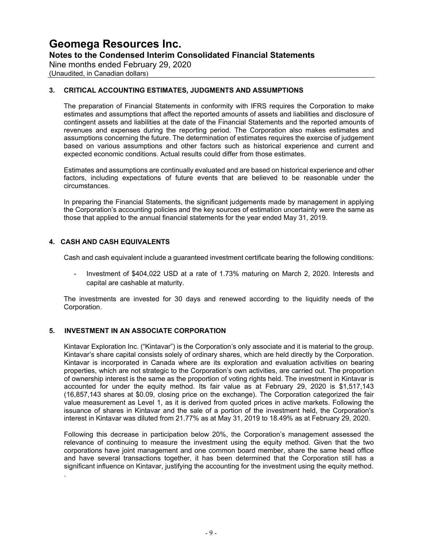**Notes to the Condensed Interim Consolidated Financial Statements**

Nine months ended February 29, 2020

(Unaudited, in Canadian dollars)

#### **3. CRITICAL ACCOUNTING ESTIMATES, JUDGMENTS AND ASSUMPTIONS**

The preparation of Financial Statements in conformity with IFRS requires the Corporation to make estimates and assumptions that affect the reported amounts of assets and liabilities and disclosure of contingent assets and liabilities at the date of the Financial Statements and the reported amounts of revenues and expenses during the reporting period. The Corporation also makes estimates and assumptions concerning the future. The determination of estimates requires the exercise of judgement based on various assumptions and other factors such as historical experience and current and expected economic conditions. Actual results could differ from those estimates.

Estimates and assumptions are continually evaluated and are based on historical experience and other factors, including expectations of future events that are believed to be reasonable under the circumstances.

In preparing the Financial Statements, the significant judgements made by management in applying the Corporation's accounting policies and the key sources of estimation uncertainty were the same as those that applied to the annual financial statements for the year ended May 31, 2019.

#### **4. CASH AND CASH EQUIVALENTS**

.

Cash and cash equivalent include a guaranteed investment certificate bearing the following conditions:

Investment of \$404,022 USD at a rate of 1.73% maturing on March 2, 2020. Interests and capital are cashable at maturity.

The investments are invested for 30 days and renewed according to the liquidity needs of the Corporation.

#### **5. INVESTMENT IN AN ASSOCIATE CORPORATION**

Kintavar Exploration Inc. ("Kintavar") is the Corporation's only associate and it is material to the group. Kintavar's share capital consists solely of ordinary shares, which are held directly by the Corporation. Kintavar is incorporated in Canada where are its exploration and evaluation activities on bearing properties, which are not strategic to the Corporation's own activities, are carried out. The proportion of ownership interest is the same as the proportion of voting rights held. The investment in Kintavar is accounted for under the equity method. Its fair value as at February 29, 2020 is \$1,517,143 (16,857,143 shares at \$0.09, closing price on the exchange). The Corporation categorized the fair value measurement as Level 1, as it is derived from quoted prices in active markets. Following the issuance of shares in Kintavar and the sale of a portion of the investment held, the Corporation's interest in Kintavar was diluted from 21.77% as at May 31, 2019 to 18.49% as at February 29, 2020.

Following this decrease in participation below 20%, the Corporation's management assessed the relevance of continuing to measure the investment using the equity method. Given that the two corporations have joint management and one common board member, share the same head office and have several transactions together, it has been determined that the Corporation still has a significant influence on Kintavar, justifying the accounting for the investment using the equity method.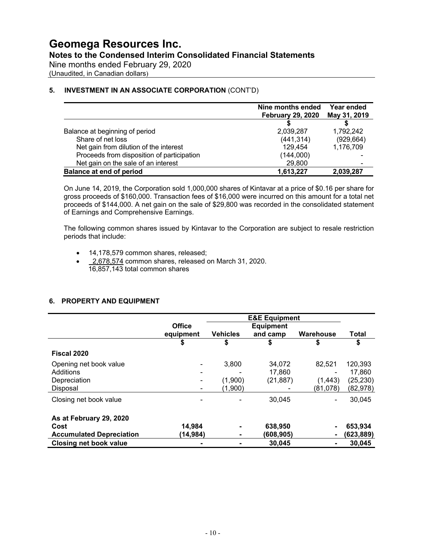**Notes to the Condensed Interim Consolidated Financial Statements**

Nine months ended February 29, 2020

(Unaudited, in Canadian dollars)

#### **5. INVESTMENT IN AN ASSOCIATE CORPORATION** (CONT'D)

|                                            | Nine months ended<br><b>February 29, 2020</b> | Year ended<br>May 31, 2019 |
|--------------------------------------------|-----------------------------------------------|----------------------------|
|                                            |                                               |                            |
| Balance at beginning of period             | 2,039,287                                     | 1,792,242                  |
| Share of net loss                          | (441, 314)                                    | (929, 664)                 |
| Net gain from dilution of the interest     | 129,454                                       | 1,176,709                  |
| Proceeds from disposition of participation | (144,000)                                     |                            |
| Net gain on the sale of an interest        | 29,800                                        |                            |
| <b>Balance at end of period</b>            | 1,613,227                                     | 2,039,287                  |

On June 14, 2019, the Corporation sold 1,000,000 shares of Kintavar at a price of \$0.16 per share for gross proceeds of \$160,000. Transaction fees of \$16,000 were incurred on this amount for a total net proceeds of \$144,000. A net gain on the sale of \$29,800 was recorded in the consolidated statement of Earnings and Comprehensive Earnings.

The following common shares issued by Kintavar to the Corporation are subject to resale restriction periods that include:

- 14,178,579 common shares, released;
- 2,678,574 common shares, released on March 31, 2020. 16,857,143 total common shares

#### **6. PROPERTY AND EQUIPMENT**

|                                 |               |                 | <b>E&amp;E Equipment</b> |                |              |
|---------------------------------|---------------|-----------------|--------------------------|----------------|--------------|
|                                 | <b>Office</b> |                 | <b>Equipment</b>         |                |              |
|                                 | equipment     | <b>Vehicles</b> | and camp                 | Warehouse      | <b>Total</b> |
|                                 | \$            | \$              | S                        | S              | \$           |
| Fiscal 2020                     |               |                 |                          |                |              |
| Opening net book value          |               | 3,800           | 34.072                   | 82.521         | 120,393      |
| <b>Additions</b>                |               |                 | 17.860                   |                | 17,860       |
| Depreciation                    |               | (1,900)         | (21, 887)                | (1, 443)       | (25, 230)    |
| <b>Disposal</b>                 |               | (1,900)         |                          | (81,078)       | (82,978)     |
| Closing net book value          |               |                 | 30.045                   |                | 30,045       |
| As at February 29, 2020         |               |                 |                          |                |              |
| Cost                            | 14,984        |                 | 638,950                  |                | 653,934      |
| <b>Accumulated Depreciation</b> | (14,984)      |                 | (608,905)                |                | (623, 889)   |
| <b>Closing net book value</b>   |               |                 | 30,045                   | $\blacksquare$ | 30,045       |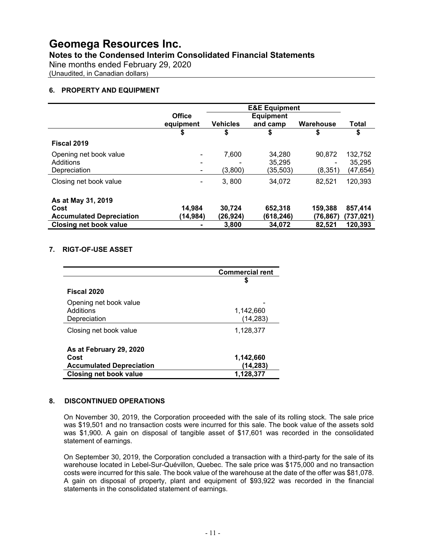#### **Notes to the Condensed Interim Consolidated Financial Statements**

Nine months ended February 29, 2020

(Unaudited, in Canadian dollars)

#### **6. PROPERTY AND EQUIPMENT**

|                                 | <b>E&amp;E Equipment</b> |                 |                  |           |              |  |
|---------------------------------|--------------------------|-----------------|------------------|-----------|--------------|--|
|                                 | <b>Office</b>            |                 | <b>Equipment</b> |           |              |  |
|                                 | equipment                | <b>Vehicles</b> | and camp         | Warehouse | <b>Total</b> |  |
|                                 | \$                       | \$              | \$               | \$        | \$           |  |
| Fiscal 2019                     |                          |                 |                  |           |              |  |
| Opening net book value          |                          | 7,600           | 34,280           | 90.872    | 132,752      |  |
| Additions                       |                          |                 | 35,295           | ۰         | 35.295       |  |
| Depreciation                    |                          | (3,800)         | (35,503)         | (8,351    | (47,654)     |  |
| Closing net book value          | ۰                        | 3,800           | 34.072           | 82,521    | 120,393      |  |
| As at May 31, 2019              |                          |                 |                  |           |              |  |
| Cost                            | 14,984                   | 30,724          | 652,318          | 159,388   | 857,414      |  |
| <b>Accumulated Depreciation</b> | (14,984)                 | (26,924)        | (618,246)        | (76.867)  | (737,021)    |  |
| <b>Closing net book value</b>   |                          | 3,800           | 34,072           | 82,521    | 120,393      |  |

#### **7. RIGT-OF-USE ASSET**

|                                 | <b>Commercial rent</b> |
|---------------------------------|------------------------|
|                                 | 5                      |
| Fiscal 2020                     |                        |
| Opening net book value          |                        |
| Additions                       | 1,142,660              |
| Depreciation                    | (14, 283)              |
| Closing net book value          | 1,128,377              |
| As at February 29, 2020         |                        |
| Cost                            | 1,142,660              |
| <b>Accumulated Depreciation</b> | (14,283)               |
| <b>Closing net book value</b>   | 1,128,377              |

#### **8. DISCONTINUED OPERATIONS**

On November 30, 2019, the Corporation proceeded with the sale of its rolling stock. The sale price was \$19,501 and no transaction costs were incurred for this sale. The book value of the assets sold was \$1,900. A gain on disposal of tangible asset of \$17,601 was recorded in the consolidated statement of earnings.

On September 30, 2019, the Corporation concluded a transaction with a third-party for the sale of its warehouse located in Lebel-Sur-Quévillon, Quebec. The sale price was \$175,000 and no transaction costs were incurred for this sale. The book value of the warehouse at the date of the offer was \$81,078. A gain on disposal of property, plant and equipment of \$93,922 was recorded in the financial statements in the consolidated statement of earnings.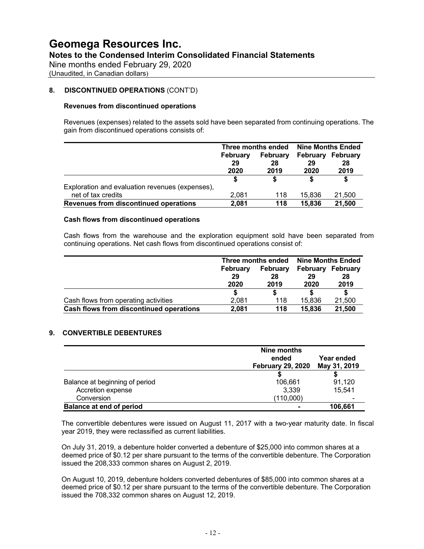Nine months ended February 29, 2020

(Unaudited, in Canadian dollars)

#### **8. DISCONTINUED OPERATIONS** (CONT'D)

#### **Revenues from discontinued operations**

Revenues (expenses) related to the assets sold have been separated from continuing operations. The gain from discontinued operations consists of:

|                                                 |                        | Three months ended     | <b>Nine Months Ended</b> |                        |  |
|-------------------------------------------------|------------------------|------------------------|--------------------------|------------------------|--|
|                                                 | February<br>29<br>2020 | February<br>28<br>2019 | February<br>29<br>2020   | February<br>28<br>2019 |  |
|                                                 |                        |                        |                          | S                      |  |
| Exploration and evaluation revenues (expenses), |                        |                        |                          |                        |  |
| net of tax credits                              | 2,081                  | 118                    | 15,836                   | 21,500                 |  |
| Revenues from discontinued operations           | 2,081                  | 118                    | 15,836                   | 21,500                 |  |

#### **Cash flows from discontinued operations**

Cash flows from the warehouse and the exploration equipment sold have been separated from continuing operations. Net cash flows from discontinued operations consist of:

|                                         |          | Three months ended | <b>Nine Months Ended</b> |          |  |
|-----------------------------------------|----------|--------------------|--------------------------|----------|--|
|                                         | February | February           | <b>February</b>          | February |  |
|                                         | 29       | 28                 | 29                       | 28       |  |
|                                         | 2020     | 2019               | 2020                     | 2019     |  |
|                                         |          |                    |                          |          |  |
| Cash flows from operating activities    | 2.081    | 118                | 15.836                   | 21,500   |  |
| Cash flows from discontinued operations | 2.081    | 118                | 15,836                   | 21,500   |  |

#### **9. CONVERTIBLE DEBENTURES**

|                                 | Nine months<br>ended<br><b>February 29, 2020</b> | Year ended<br>May 31, 2019 |
|---------------------------------|--------------------------------------------------|----------------------------|
|                                 |                                                  |                            |
| Balance at beginning of period  | 106,661                                          | 91,120                     |
| Accretion expense               | 3.339                                            | 15.541                     |
| Conversion                      | (110,000)                                        |                            |
| <b>Balance at end of period</b> |                                                  | 106,661                    |

The convertible debentures were issued on August 11, 2017 with a two-year maturity date. In fiscal year 2019, they were reclassified as current liabilities.

On July 31, 2019, a debenture holder converted a debenture of \$25,000 into common shares at a deemed price of \$0.12 per share pursuant to the terms of the convertible debenture. The Corporation issued the 208,333 common shares on August 2, 2019.

On August 10, 2019, debenture holders converted debentures of \$85,000 into common shares at a deemed price of \$0.12 per share pursuant to the terms of the convertible debenture. The Corporation issued the 708,332 common shares on August 12, 2019.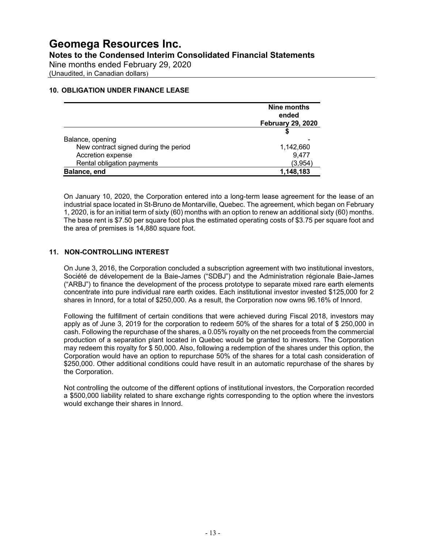### **Geomega Resources Inc. Notes to the Condensed Interim Consolidated Financial Statements** Nine months ended February 29, 2020

(Unaudited, in Canadian dollars)

#### **10. OBLIGATION UNDER FINANCE LEASE**

|                                       | Nine months<br>ended<br><b>February 29, 2020</b> |
|---------------------------------------|--------------------------------------------------|
|                                       |                                                  |
| Balance, opening                      |                                                  |
| New contract signed during the period | 1,142,660                                        |
| Accretion expense                     | 9,477                                            |
| Rental obligation payments            | (3,954)                                          |
| Balance, end                          | 1,148,183                                        |

On January 10, 2020, the Corporation entered into a long-term lease agreement for the lease of an industrial space located in St-Bruno de Montarville, Quebec. The agreement, which began on February 1, 2020, is for an initial term of sixty (60) months with an option to renew an additional sixty (60) months. The base rent is \$7.50 per square foot plus the estimated operating costs of \$3.75 per square foot and the area of premises is 14,880 square foot.

#### **11. NON-CONTROLLING INTEREST**

On June 3, 2016, the Corporation concluded a subscription agreement with two institutional investors, Société de dévelopement de la Baie-James ("SDBJ") and the Administration régionale Baie-James ("ARBJ") to finance the development of the process prototype to separate mixed rare earth elements concentrate into pure individual rare earth oxides. Each institutional investor invested \$125,000 for 2 shares in Innord, for a total of \$250,000. As a result, the Corporation now owns 96.16% of Innord.

Following the fulfillment of certain conditions that were achieved during Fiscal 2018, investors may apply as of June 3, 2019 for the corporation to redeem 50% of the shares for a total of \$ 250,000 in cash. Following the repurchase of the shares, a 0.05% royalty on the net proceeds from the commercial production of a separation plant located in Quebec would be granted to investors. The Corporation may redeem this royalty for \$ 50,000. Also, following a redemption of the shares under this option, the Corporation would have an option to repurchase 50% of the shares for a total cash consideration of \$250,000. Other additional conditions could have result in an automatic repurchase of the shares by the Corporation.

Not controlling the outcome of the different options of institutional investors, the Corporation recorded a \$500,000 liability related to share exchange rights corresponding to the option where the investors would exchange their shares in Innord.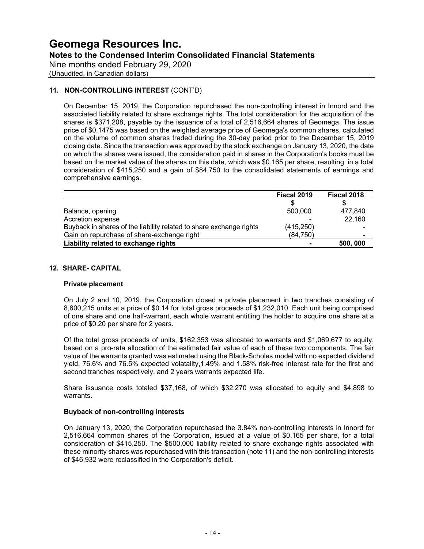Nine months ended February 29, 2020

(Unaudited, in Canadian dollars)

#### **11. NON-CONTROLLING INTEREST** (CONT'D)

On December 15, 2019, the Corporation repurchased the non-controlling interest in Innord and the associated liability related to share exchange rights. The total consideration for the acquisition of the shares is \$371,208, payable by the issuance of a total of 2,516,664 shares of Geomega. The issue price of \$0.1475 was based on the weighted average price of Geomega's common shares, calculated on the volume of common shares traded during the 30-day period prior to the December 15, 2019 closing date. Since the transaction was approved by the stock exchange on January 13, 2020, the date on which the shares were issued, the consideration paid in shares in the Corporation's books must be based on the market value of the shares on this date, which was \$0.165 per share, resulting in a total consideration of \$415,250 and a gain of \$84,750 to the consolidated statements of earnings and comprehensive earnings.

|                                                                     | Fiscal 2019 | Fiscal 2018 |
|---------------------------------------------------------------------|-------------|-------------|
|                                                                     |             |             |
| Balance, opening                                                    | 500,000     | 477,840     |
| Accretion expense                                                   |             | 22,160      |
| Buyback in shares of the liability related to share exchange rights | (415, 250)  |             |
| Gain on repurchase of share-exchange right                          | (84, 750)   | -           |
| Liability related to exchange rights                                |             | 500, 000    |

#### **12. SHARE- CAPITAL**

#### **Private placement**

On July 2 and 10, 2019, the Corporation closed a private placement in two tranches consisting of 8,800,215 units at a price of \$0.14 for total gross proceeds of \$1,232,010. Each unit being comprised of one share and one half-warrant, each whole warrant entitling the holder to acquire one share at a price of \$0.20 per share for 2 years.

Of the total gross proceeds of units, \$162,353 was allocated to warrants and \$1,069,677 to equity, based on a pro-rata allocation of the estimated fair value of each of these two components. The fair value of the warrants granted was estimated using the Black-Scholes model with no expected dividend yield, 76.6% and 76.5% expected volatality,1.49% and 1.58% risk-free interest rate for the first and second tranches respectively, and 2 years warrants expected life.

Share issuance costs totaled \$37,168, of which \$32,270 was allocated to equity and \$4,898 to warrants.

#### **Buyback of non-controlling interests**

On January 13, 2020, the Corporation repurchased the 3.84% non-controlling interests in Innord for 2,516,664 common shares of the Corporation, issued at a value of \$0.165 per share, for a total consideration of \$415,250. The \$500,000 liability related to share exchange rights associated with these minority shares was repurchased with this transaction (note 11) and the non-controlling interests of \$46,932 were reclassified in the Corporation's deficit.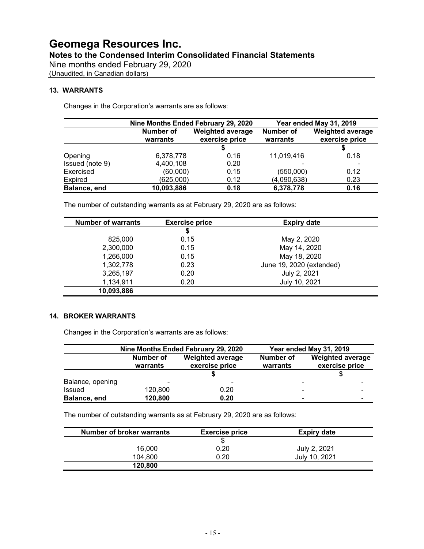Nine months ended February 29, 2020

(Unaudited, in Canadian dollars)

#### **13. WARRANTS**

Changes in the Corporation's warrants are as follows:

|                 | Nine Months Ended February 29, 2020                                |      | Year ended May 31, 2019 |                                           |
|-----------------|--------------------------------------------------------------------|------|-------------------------|-------------------------------------------|
|                 | Number of<br><b>Weighted average</b><br>exercise price<br>warrants |      | Number of<br>warrants   | <b>Weighted average</b><br>exercise price |
|                 |                                                                    |      |                         |                                           |
| Opening         | 6,378,778                                                          | 0.16 | 11,019,416              | 0.18                                      |
| Issued (note 9) | 4,400,108                                                          | 0.20 |                         |                                           |
| Exercised       | (60,000)                                                           | 0.15 | (550,000)               | 0.12                                      |
| Expired         | (625,000)                                                          | 0.12 | (4,090,638)             | 0.23                                      |
| Balance, end    | 10,093,886                                                         | 0.18 | 6,378,778               | 0.16                                      |

The number of outstanding warrants as at February 29, 2020 are as follows:

| <b>Number of warrants</b> | <b>Exercise price</b> | <b>Expiry date</b>       |  |
|---------------------------|-----------------------|--------------------------|--|
|                           | \$                    |                          |  |
| 825,000                   | 0.15                  | May 2, 2020              |  |
| 2,300,000                 | 0.15                  | May 14, 2020             |  |
| 1,266,000                 | 0.15                  | May 18, 2020             |  |
| 1,302,778                 | 0.23                  | June 19, 2020 (extended) |  |
| 3,265,197                 | 0.20                  | July 2, 2021             |  |
| 1,134,911                 | 0.20                  | July 10, 2021            |  |
| 10,093,886                |                       |                          |  |

#### **14. BROKER WARRANTS**

Changes in the Corporation's warrants are as follows:

|                  | Nine Months Ended February 29, 2020  |                            | Year ended May 31, 2019 |                         |  |
|------------------|--------------------------------------|----------------------------|-------------------------|-------------------------|--|
|                  | Number of<br><b>Weighted average</b> |                            | Number of<br>warrants   | <b>Weighted average</b> |  |
|                  |                                      | exercise price<br>warrants |                         | exercise price          |  |
|                  |                                      |                            |                         |                         |  |
| Balance, opening | $\overline{\phantom{0}}$             |                            |                         | -                       |  |
| Issued           | 120,800                              | 0.20                       |                         | $\blacksquare$<br>-     |  |
| Balance, end     | 120,800                              | 0.20                       |                         | -                       |  |

The number of outstanding warrants as at February 29, 2020 are as follows:

| <b>Number of broker warrants</b> | <b>Exercise price</b> | <b>Expiry date</b> |  |
|----------------------------------|-----------------------|--------------------|--|
|                                  | S                     |                    |  |
| 16,000                           | 0.20                  | July 2, 2021       |  |
| 104.800                          | 0.20                  | July 10, 2021      |  |
| 120,800                          |                       |                    |  |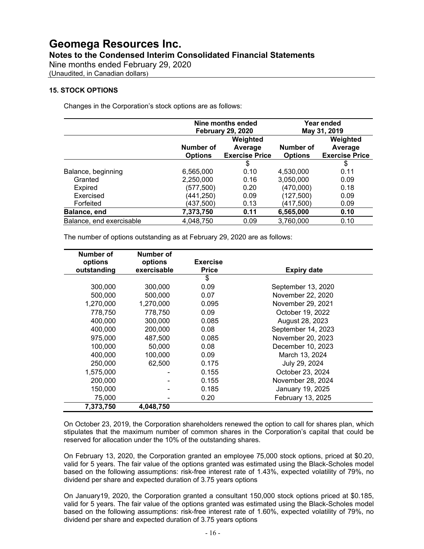Nine months ended February 29, 2020

(Unaudited, in Canadian dollars)

#### **15. STOCK OPTIONS**

Changes in the Corporation's stock options are as follows:

|                          | Nine months ended<br><b>February 29, 2020</b> |                                                                             | Year ended<br>May 31, 2019 |      |
|--------------------------|-----------------------------------------------|-----------------------------------------------------------------------------|----------------------------|------|
|                          | Number of<br><b>Options</b>                   | Weighted<br>Number of<br>Average<br><b>Exercise Price</b><br><b>Options</b> |                            |      |
|                          |                                               | \$                                                                          |                            | \$   |
| Balance, beginning       | 6,565,000                                     | 0.10                                                                        | 4,530,000                  | 0.11 |
| Granted                  | 2,250,000                                     | 0.16                                                                        | 3,050,000                  | 0.09 |
| Expired                  | (577, 500)                                    | 0.20                                                                        | (470,000)                  | 0.18 |
| Exercised                | (441,250)                                     | 0.09                                                                        | (127, 500)                 | 0.09 |
| Forfeited                | (437, 500)                                    | 0.13                                                                        | (417,500)                  | 0.09 |
| Balance, end             | 7,373,750                                     | 0.11                                                                        | 6,565,000                  | 0.10 |
| Balance, end exercisable | 4,048,750                                     | 0.09                                                                        | 3,760,000                  | 0.10 |

The number of options outstanding as at February 29, 2020 are as follows:

| Number of   | Number of   |                 |                    |
|-------------|-------------|-----------------|--------------------|
| options     | options     | <b>Exercise</b> |                    |
| outstanding | exercisable | <b>Price</b>    | <b>Expiry date</b> |
|             |             | \$              |                    |
| 300,000     | 300,000     | 0.09            | September 13, 2020 |
| 500,000     | 500,000     | 0.07            | November 22, 2020  |
| 1,270,000   | 1,270,000   | 0.095           | November 29, 2021  |
| 778.750     | 778.750     | 0.09            | October 19, 2022   |
| 400,000     | 300,000     | 0.085           | August 28, 2023    |
| 400,000     | 200,000     | 0.08            | September 14, 2023 |
| 975,000     | 487,500     | 0.085           | November 20, 2023  |
| 100.000     | 50,000      | 0.08            | December 10, 2023  |
| 400.000     | 100,000     | 0.09            | March 13, 2024     |
| 250,000     | 62,500      | 0.175           | July 29, 2024      |
| 1,575,000   |             | 0.155           | October 23, 2024   |
| 200,000     |             | 0.155           | November 28, 2024  |
| 150,000     |             | 0.185           | January 19, 2025   |
| 75,000      |             | 0.20            | February 13, 2025  |
| 7,373,750   | 4,048,750   |                 |                    |

On October 23, 2019, the Corporation shareholders renewed the option to call for shares plan, which stipulates that the maximum number of common shares in the Corporation's capital that could be reserved for allocation under the 10% of the outstanding shares.

On February 13, 2020, the Corporation granted an employee 75,000 stock options, priced at \$0.20, valid for 5 years. The fair value of the options granted was estimated using the Black-Scholes model based on the following assumptions: risk-free interest rate of 1.43%, expected volatility of 79%, no dividend per share and expected duration of 3.75 years options

On January19, 2020, the Corporation granted a consultant 150,000 stock options priced at \$0.185, valid for 5 years. The fair value of the options granted was estimated using the Black-Scholes model based on the following assumptions: risk-free interest rate of 1.60%, expected volatility of 79%, no dividend per share and expected duration of 3.75 years options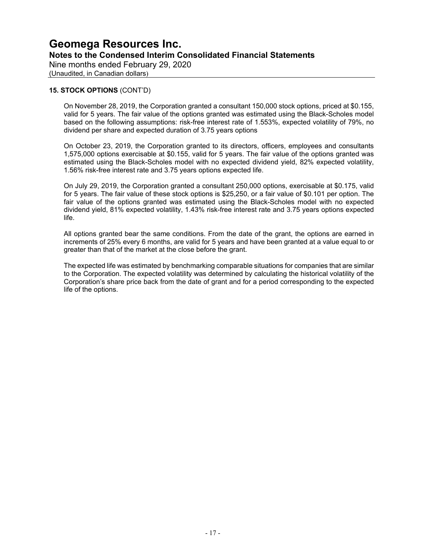Nine months ended February 29, 2020

(Unaudited, in Canadian dollars)

#### **15. STOCK OPTIONS** (CONT'D)

On November 28, 2019, the Corporation granted a consultant 150,000 stock options, priced at \$0.155, valid for 5 years. The fair value of the options granted was estimated using the Black-Scholes model based on the following assumptions: risk-free interest rate of 1.553%, expected volatility of 79%, no dividend per share and expected duration of 3.75 years options

On October 23, 2019, the Corporation granted to its directors, officers, employees and consultants 1,575,000 options exercisable at \$0.155, valid for 5 years. The fair value of the options granted was estimated using the Black-Scholes model with no expected dividend yield, 82% expected volatility, 1.56% risk-free interest rate and 3.75 years options expected life.

On July 29, 2019, the Corporation granted a consultant 250,000 options, exercisable at \$0.175, valid for 5 years. The fair value of these stock options is \$25,250, or a fair value of \$0.101 per option. The fair value of the options granted was estimated using the Black-Scholes model with no expected dividend yield, 81% expected volatility, 1.43% risk-free interest rate and 3.75 years options expected life.

All options granted bear the same conditions. From the date of the grant, the options are earned in increments of 25% every 6 months, are valid for 5 years and have been granted at a value equal to or greater than that of the market at the close before the grant.

The expected life was estimated by benchmarking comparable situations for companies that are similar to the Corporation. The expected volatility was determined by calculating the historical volatility of the Corporation's share price back from the date of grant and for a period corresponding to the expected life of the options.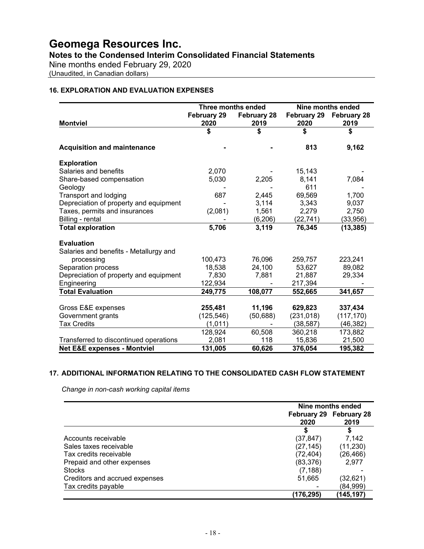### **Notes to the Condensed Interim Consolidated Financial Statements**

Nine months ended February 29, 2020

(Unaudited, in Canadian dollars)

#### **16. EXPLORATION AND EVALUATION EXPENSES**

|                                        | Three months ended |                    | Nine months ended  |                    |  |
|----------------------------------------|--------------------|--------------------|--------------------|--------------------|--|
|                                        | February 29        | <b>February 28</b> | <b>February 29</b> | <b>February 28</b> |  |
| <b>Montviel</b>                        | 2020               | 2019               | 2020               | 2019               |  |
|                                        | \$                 | \$                 | \$                 | \$                 |  |
| <b>Acquisition and maintenance</b>     |                    |                    | 813                | 9,162              |  |
| <b>Exploration</b>                     |                    |                    |                    |                    |  |
| Salaries and benefits                  | 2,070              |                    | 15,143             |                    |  |
| Share-based compensation               | 5,030              | 2,205              | 8,141              | 7,084              |  |
| Geology                                |                    |                    | 611                |                    |  |
| Transport and lodging                  | 687                | 2,445              | 69,569             | 1,700              |  |
| Depreciation of property and equipment |                    | 3,114              | 3,343              | 9,037              |  |
| Taxes, permits and insurances          | (2,081)            | 1,561              | 2,279              | 2,750              |  |
| Billing - rental                       |                    | (6,206)            | (22,741)           | (33,956)           |  |
| <b>Total exploration</b>               | 5,706              | 3,119              | 76,345             | (13, 385)          |  |
| <b>Evaluation</b>                      |                    |                    |                    |                    |  |
| Salaries and benefits - Metallurgy and |                    |                    |                    |                    |  |
| processing                             | 100,473            | 76,096             | 259,757            | 223,241            |  |
| Separation process                     | 18,538             | 24,100             | 53,627             | 89,082             |  |
| Depreciation of property and equipment | 7,830              | 7,881              | 21,887             | 29,334             |  |
| Engineering                            | 122,934            |                    | 217,394            |                    |  |
| <b>Total Evaluation</b>                | 249,775            | 108,077            | 552,665            | 341,657            |  |
|                                        |                    |                    |                    |                    |  |
| Gross E&E expenses                     | 255,481            | 11,196             | 629,823            | 337,434            |  |
| Government grants                      | (125, 546)         | (50, 688)          | (231, 018)         | (117, 170)         |  |
| <b>Tax Credits</b>                     | (1,011)            |                    | (38, 587)          | (46, 382)          |  |
|                                        | 128,924            | 60,508             | 360,218            | 173,882            |  |
| Transferred to discontinued operations | 2,081              | 118                | 15,836             | 21,500             |  |
| <b>Net E&amp;E expenses - Montviel</b> | 131,005            | 60,626             | 376,054            | 195,382            |  |

#### **17. ADDITIONAL INFORMATION RELATING TO THE CONSOLIDATED CASH FLOW STATEMENT**

*Change in non-cash working capital items*

|                                | Nine months ended |                                 |  |
|--------------------------------|-------------------|---------------------------------|--|
|                                | 2020              | February 29 February 28<br>2019 |  |
|                                |                   | 5                               |  |
| Accounts receivable            | (37,847)          | 7.142                           |  |
| Sales taxes receivable         | (27,145)          | (11, 230)                       |  |
| Tax credits receivable         | (72, 404)         | (26,466)                        |  |
| Prepaid and other expenses     | (83, 376)         | 2.977                           |  |
| <b>Stocks</b>                  | (7, 188)          |                                 |  |
| Creditors and accrued expenses | 51,665            | (32,621)                        |  |
| Tax credits payable            |                   | (84,999)                        |  |
|                                | (176,295)         | (145, 197)                      |  |